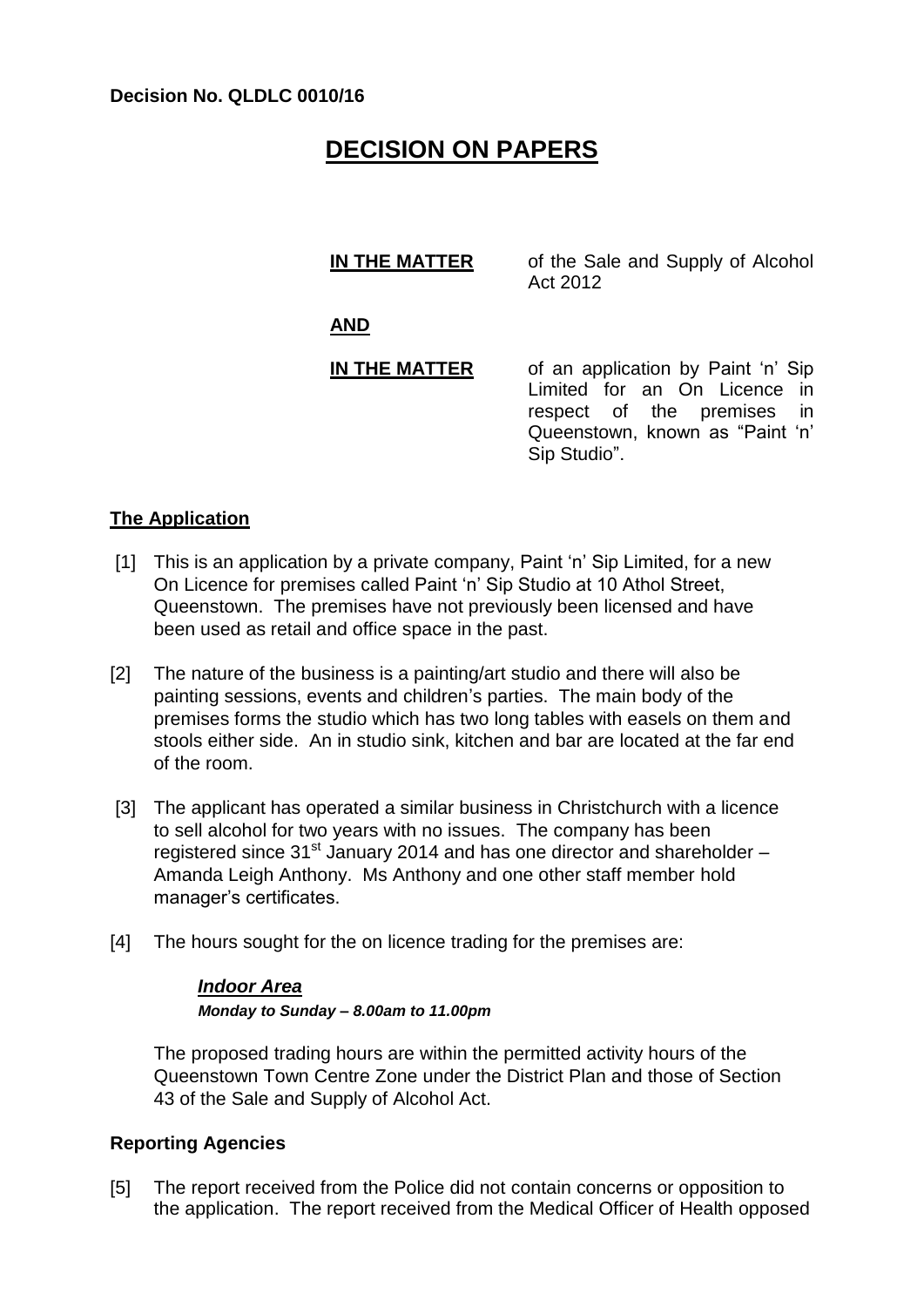#### **Decision No. QLDLC 0010/16**

# **DECISION ON PAPERS**

| <b>IN THE MATTER</b> | of the Sale and Supply of Alcohol<br>Act 2012                                                                                                       |
|----------------------|-----------------------------------------------------------------------------------------------------------------------------------------------------|
| <b>AND</b>           |                                                                                                                                                     |
| IN THE MATTER        | of an application by Paint 'n' Sip<br>Limited for an On Licence in<br>respect of the premises in<br>Queenstown, known as "Paint 'n'<br>Sip Studio". |

### **The Application**

- [1] This is an application by a private company, Paint 'n' Sip Limited, for a new On Licence for premises called Paint 'n' Sip Studio at 10 Athol Street, Queenstown. The premises have not previously been licensed and have been used as retail and office space in the past.
- [2] The nature of the business is a painting/art studio and there will also be painting sessions, events and children's parties. The main body of the premises forms the studio which has two long tables with easels on them and stools either side. An in studio sink, kitchen and bar are located at the far end of the room.
- [3] The applicant has operated a similar business in Christchurch with a licence to sell alcohol for two years with no issues. The company has been registered since  $31<sup>st</sup>$  January 2014 and has one director and shareholder – Amanda Leigh Anthony. Ms Anthony and one other staff member hold manager's certificates.
- [4] The hours sought for the on licence trading for the premises are:

## *Indoor Area Monday to Sunday – 8.00am to 11.00pm*

The proposed trading hours are within the permitted activity hours of the Queenstown Town Centre Zone under the District Plan and those of Section 43 of the Sale and Supply of Alcohol Act.

### **Reporting Agencies**

[5] The report received from the Police did not contain concerns or opposition to the application. The report received from the Medical Officer of Health opposed